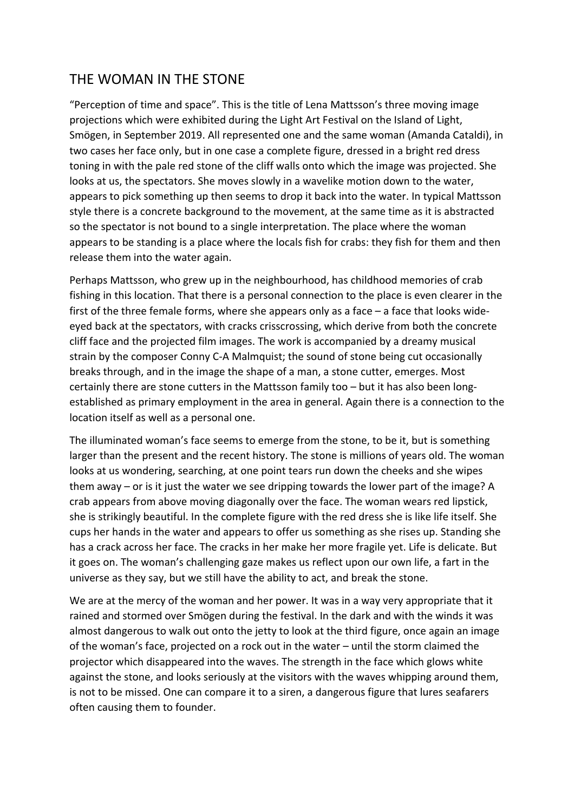## THE WOMAN IN THE STONE

"Perception of time and space". This is the title of Lena Mattsson's three moving image projections which were exhibited during the Light Art Festival on the Island of Light, Smögen, in September 2019. All represented one and the same woman (Amanda Cataldi), in two cases her face only, but in one case a complete figure, dressed in a bright red dress toning in with the pale red stone of the cliff walls onto which the image was projected. She looks at us, the spectators. She moves slowly in a wavelike motion down to the water, appears to pick something up then seems to drop it back into the water. In typical Mattsson style there is a concrete background to the movement, at the same time as it is abstracted so the spectator is not bound to a single interpretation. The place where the woman appears to be standing is a place where the locals fish for crabs: they fish for them and then release them into the water again.

Perhaps Mattsson, who grew up in the neighbourhood, has childhood memories of crab fishing in this location. That there is a personal connection to the place is even clearer in the first of the three female forms, where she appears only as a face – a face that looks wideeyed back at the spectators, with cracks crisscrossing, which derive from both the concrete cliff face and the projected film images. The work is accompanied by a dreamy musical strain by the composer Conny C-A Malmquist; the sound of stone being cut occasionally breaks through, and in the image the shape of a man, a stone cutter, emerges. Most certainly there are stone cutters in the Mattsson family too – but it has also been longestablished as primary employment in the area in general. Again there is a connection to the location itself as well as a personal one.

The illuminated woman's face seems to emerge from the stone, to be it, but is something larger than the present and the recent history. The stone is millions of years old. The woman looks at us wondering, searching, at one point tears run down the cheeks and she wipes them away – or is it just the water we see dripping towards the lower part of the image? A crab appears from above moving diagonally over the face. The woman wears red lipstick, she is strikingly beautiful. In the complete figure with the red dress she is like life itself. She cups her hands in the water and appears to offer us something as she rises up. Standing she has a crack across her face. The cracks in her make her more fragile yet. Life is delicate. But it goes on. The woman's challenging gaze makes us reflect upon our own life, a fart in the universe as they say, but we still have the ability to act, and break the stone.

We are at the mercy of the woman and her power. It was in a way very appropriate that it rained and stormed over Smögen during the festival. In the dark and with the winds it was almost dangerous to walk out onto the jetty to look at the third figure, once again an image of the woman's face, projected on a rock out in the water – until the storm claimed the projector which disappeared into the waves. The strength in the face which glows white against the stone, and looks seriously at the visitors with the waves whipping around them, is not to be missed. One can compare it to a siren, a dangerous figure that lures seafarers often causing them to founder.